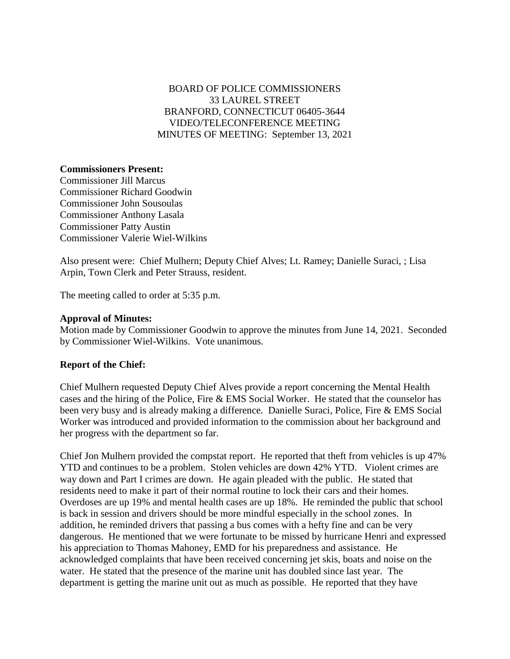# BOARD OF POLICE COMMISSIONERS 33 LAUREL STREET BRANFORD, CONNECTICUT 06405-3644 VIDEO/TELECONFERENCE MEETING MINUTES OF MEETING: September 13, 2021

# **Commissioners Present:**

Commissioner Jill Marcus Commissioner Richard Goodwin Commissioner John Sousoulas Commissioner Anthony Lasala Commissioner Patty Austin Commissioner Valerie Wiel-Wilkins

Also present were: Chief Mulhern; Deputy Chief Alves; Lt. Ramey; Danielle Suraci, ; Lisa Arpin, Town Clerk and Peter Strauss, resident.

The meeting called to order at 5:35 p.m.

### **Approval of Minutes:**

Motion made by Commissioner Goodwin to approve the minutes from June 14, 2021. Seconded by Commissioner Wiel-Wilkins. Vote unanimous.

# **Report of the Chief:**

Chief Mulhern requested Deputy Chief Alves provide a report concerning the Mental Health cases and the hiring of the Police, Fire & EMS Social Worker. He stated that the counselor has been very busy and is already making a difference. Danielle Suraci, Police, Fire & EMS Social Worker was introduced and provided information to the commission about her background and her progress with the department so far.

Chief Jon Mulhern provided the compstat report. He reported that theft from vehicles is up 47% YTD and continues to be a problem. Stolen vehicles are down 42% YTD. Violent crimes are way down and Part I crimes are down. He again pleaded with the public. He stated that residents need to make it part of their normal routine to lock their cars and their homes. Overdoses are up 19% and mental health cases are up 18%. He reminded the public that school is back in session and drivers should be more mindful especially in the school zones. In addition, he reminded drivers that passing a bus comes with a hefty fine and can be very dangerous. He mentioned that we were fortunate to be missed by hurricane Henri and expressed his appreciation to Thomas Mahoney, EMD for his preparedness and assistance. He acknowledged complaints that have been received concerning jet skis, boats and noise on the water. He stated that the presence of the marine unit has doubled since last year. The department is getting the marine unit out as much as possible. He reported that they have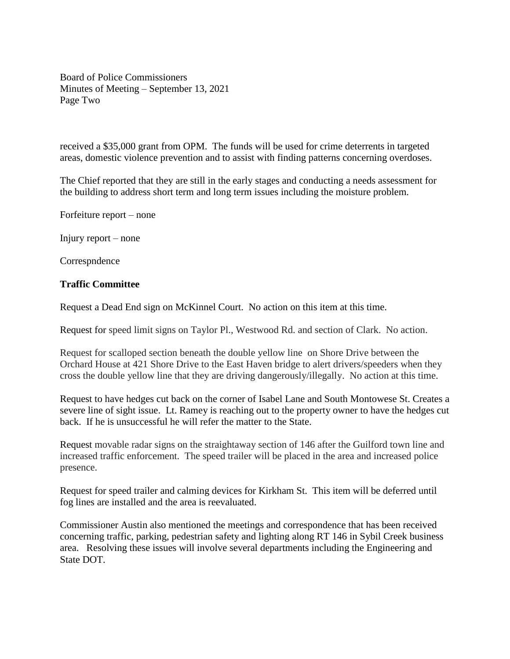Board of Police Commissioners Minutes of Meeting – September 13, 2021 Page Two

received a \$35,000 grant from OPM. The funds will be used for crime deterrents in targeted areas, domestic violence prevention and to assist with finding patterns concerning overdoses.

The Chief reported that they are still in the early stages and conducting a needs assessment for the building to address short term and long term issues including the moisture problem.

Forfeiture report – none

Injury report – none

Correspndence

# **Traffic Committee**

Request a Dead End sign on McKinnel Court. No action on this item at this time.

Request for speed limit signs on Taylor Pl., Westwood Rd. and section of Clark. No action.

Request for scalloped section beneath the double yellow line on Shore Drive between the Orchard House at 421 Shore Drive to the East Haven bridge to alert drivers/speeders when they cross the double yellow line that they are driving dangerously/illegally. No action at this time.

Request to have hedges cut back on the corner of Isabel Lane and South Montowese St. Creates a severe line of sight issue. Lt. Ramey is reaching out to the property owner to have the hedges cut back. If he is unsuccessful he will refer the matter to the State.

Request movable radar signs on the straightaway section of 146 after the Guilford town line and increased traffic enforcement. The speed trailer will be placed in the area and increased police presence.

Request for speed trailer and calming devices for Kirkham St. This item will be deferred until fog lines are installed and the area is reevaluated.

Commissioner Austin also mentioned the meetings and correspondence that has been received concerning traffic, parking, pedestrian safety and lighting along RT 146 in Sybil Creek business area. Resolving these issues will involve several departments including the Engineering and State DOT.